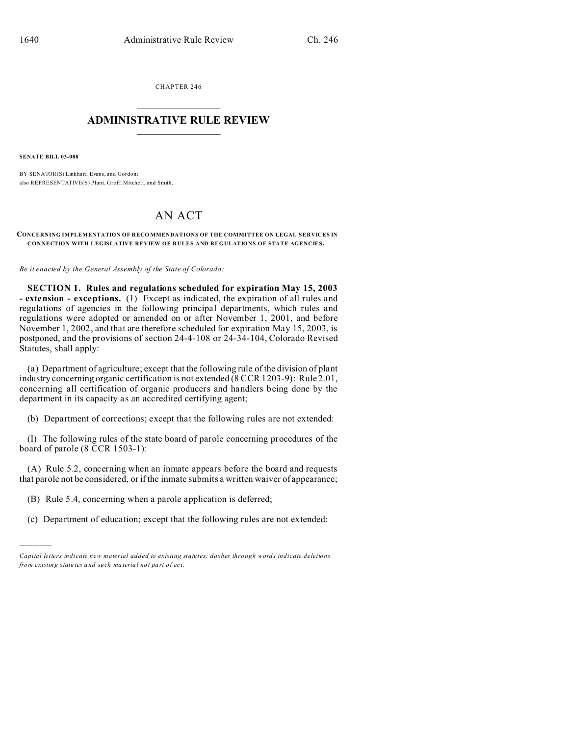CHAPTER 246  $\overline{\phantom{a}}$  , where  $\overline{\phantom{a}}$ 

## **ADMINISTRATIVE RULE REVIEW**  $\_$   $\_$   $\_$   $\_$   $\_$   $\_$   $\_$   $\_$

**SENATE BILL 03-088**

)))))

BY SENATOR(S) Linkhart, Evans, and Gordon; also REPRESENTATIVE(S) Plant, Groff, Mitchell, and Smith.

## AN ACT

**CONCERNING IMPLEMENTATION OF RECO MMENDATIONS OF THE COMMITTEE ON LEGAL SERVICES IN CONNECTION WITH LEGISLATIVE REVIEW OF RULES AND REGULATIONS OF STATE AGENCIES.**

*Be it enacted by the General Assembly of the State of Colorado:*

**SECTION 1. Rules and regulations scheduled for expiration May 15, 2003 - extension - exceptions.** (1) Except as indicated, the expiration of all rules and regulations of agencies in the following principal departments, which rules and regulations were adopted or amended on or after November 1, 2001, and before November 1, 2002, and that are therefore scheduled for expiration May 15, 2003, is postponed, and the provisions of section 24-4-108 or 24-34-104, Colorado Revised Statutes, shall apply:

(a) Department of agriculture; except that the following rule of the division of plant industry concerning organic certification is not extended (8 CCR 1203-9): Rule 2.01, concerning all certification of organic producers and handlers being done by the department in its capacity as an accredited certifying agent;

(b) Department of corrections; except that the following rules are not extended:

(I) The following rules of the state board of parole concerning procedures of the board of parole (8 CCR 1503-1):

(A) Rule 5.2, concerning when an inmate appears before the board and requests that parole not be considered, or if the inmate submits a written waiver of appearance;

- (B) Rule 5.4, concerning when a parole application is deferred;
- (c) Department of education; except that the following rules are not extended:

*Capital letters indicate new material added to existing statutes; dashes through words indicate deletions from e xistin g statu tes a nd such ma teria l no t pa rt of ac t.*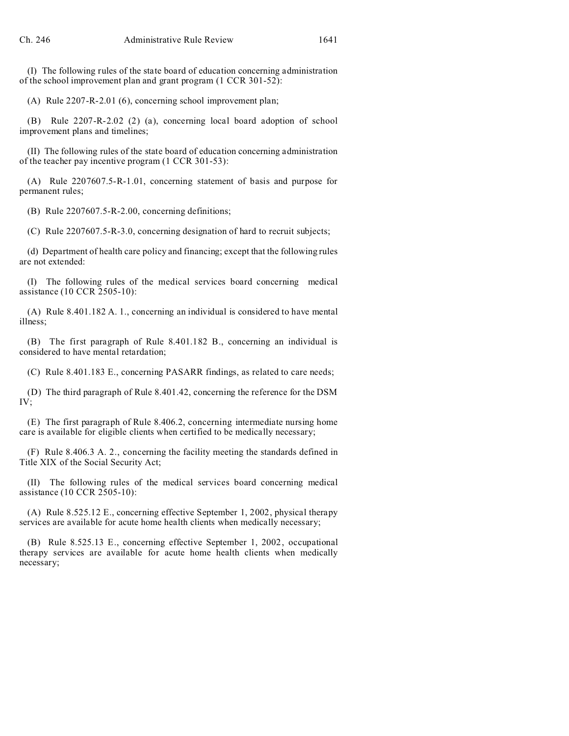(I) The following rules of the state board of education concerning administration of the school improvement plan and grant program (1 CCR 301-52):

(A) Rule 2207-R-2.01 (6), concerning school improvement plan;

(B) Rule 2207-R-2.02 (2) (a), concerning local board adoption of school improvement plans and timelines;

(II) The following rules of the state board of education concerning administration of the teacher pay incentive program (1 CCR 301-53):

(A) Rule 2207607.5-R-1.01, concerning statement of basis and purpose for permanent rules;

(B) Rule 2207607.5-R-2.00, concerning definitions;

(C) Rule 2207607.5-R-3.0, concerning designation of hard to recruit subjects;

(d) Department of health care policy and financing; except that the following rules are not extended:

(I) The following rules of the medical services board concerning medical assistance (10 CCR 2505-10):

(A) Rule 8.401.182 A. 1., concerning an individual is considered to have mental illness;

(B) The first paragraph of Rule 8.401.182 B., concerning an individual is considered to have mental retardation;

(C) Rule 8.401.183 E., concerning PASARR findings, as related to care needs;

(D) The third paragraph of Rule 8.401.42, concerning the reference for the DSM IV;

(E) The first paragraph of Rule 8.406.2, concerning intermediate nursing home care is available for eligible clients when certified to be medically necessary;

(F) Rule 8.406.3 A. 2., concerning the facility meeting the standards defined in Title XIX of the Social Security Act;

(II) The following rules of the medical services board concerning medical assistance (10 CCR 2505-10):

(A) Rule 8.525.12 E., concerning effective September 1, 2002, physical therapy services are available for acute home health clients when medically necessary;

(B) Rule 8.525.13 E., concerning effective September 1, 2002, occupational therapy services are available for acute home health clients when medically necessary;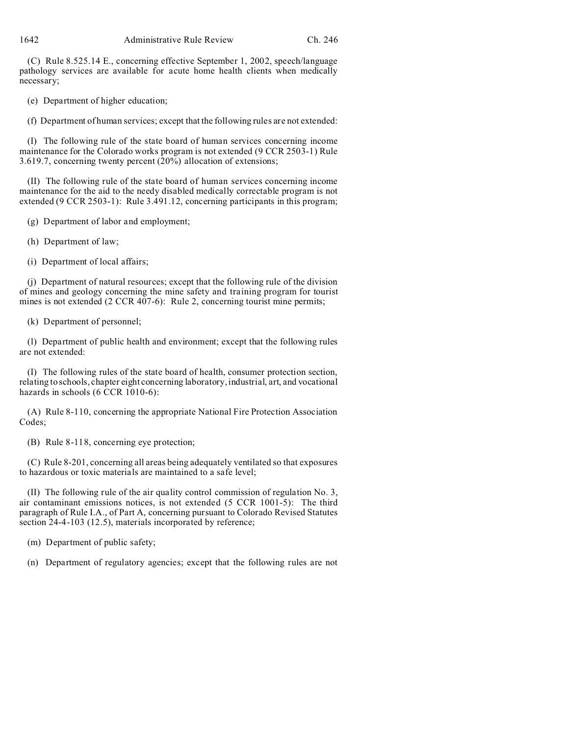(C) Rule 8.525.14 E., concerning effective September 1, 2002, speech/language pathology services are available for acute home health clients when medically necessary;

(e) Department of higher education;

(f) Department of human services; except that the following rules are not extended:

(I) The following rule of the state board of human services concerning income maintenance for the Colorado works program is not extended (9 CCR 2503-1) Rule 3.619.7, concerning twenty percent (20%) allocation of extensions;

(II) The following rule of the state board of human services concerning income maintenance for the aid to the needy disabled medically correctable program is not extended (9 CCR 2503-1): Rule 3.491.12, concerning participants in this program;

(g) Department of labor and employment;

(h) Department of law;

(i) Department of local affairs;

(j) Department of natural resources; except that the following rule of the division of mines and geology concerning the mine safety and training program for tourist mines is not extended (2 CCR 407-6): Rule 2, concerning tourist mine permits;

(k) Department of personnel;

(l) Department of public health and environment; except that the following rules are not extended:

(I) The following rules of the state board of health, consumer protection section, relating to schools, chapter eight concerning laboratory, industrial, art, and vocational hazards in schools (6 CCR 1010-6):

(A) Rule 8-110, concerning the appropriate National Fire Protection Association Codes;

(B) Rule 8-118, concerning eye protection;

(C) Rule 8-201, concerning all areas being adequately ventilated so that exposures to hazardous or toxic materials are maintained to a safe level;

(II) The following rule of the air quality control commission of regulation No. 3, air contaminant emissions notices, is not extended (5 CCR 1001-5): The third paragraph of Rule I.A., of Part A, concerning pursuant to Colorado Revised Statutes section 24-4-103 (12.5), materials incorporated by reference;

(m) Department of public safety;

(n) Department of regulatory agencies; except that the following rules are not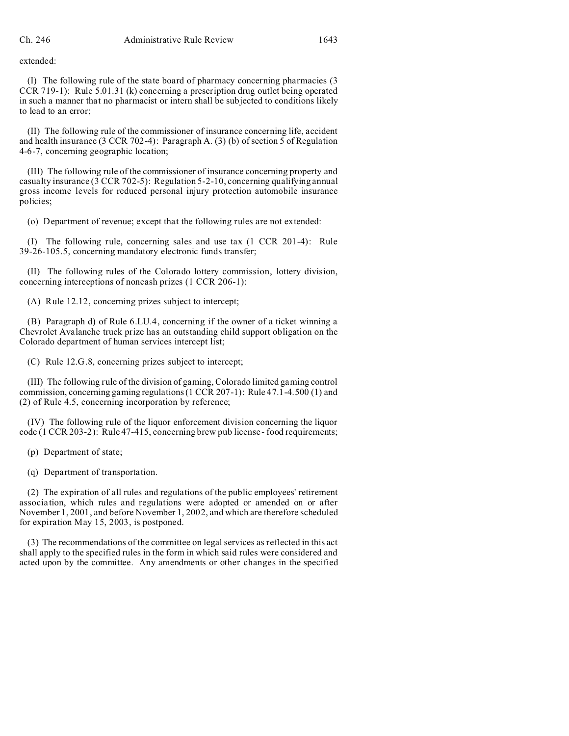extended:

(I) The following rule of the state board of pharmacy concerning pharmacies (3 CCR 719-1): Rule 5.01.31 (k) concerning a prescription drug outlet being operated in such a manner that no pharmacist or intern shall be subjected to conditions likely to lead to an error;

(II) The following rule of the commissioner of insurance concerning life, accident and health insurance (3 CCR 702-4): Paragraph A. (3) (b) of section 5 of Regulation 4-6-7, concerning geographic location;

(III) The following rule of the commissioner of insurance concerning property and casualty insurance (3 CCR 702-5): Regulation 5-2-10, concerning qualifying annual gross income levels for reduced personal injury protection automobile insurance policies;

(o) Department of revenue; except that the following rules are not extended:

(I) The following rule, concerning sales and use tax (1 CCR 201-4): Rule 39-26-105.5, concerning mandatory electronic funds transfer;

(II) The following rules of the Colorado lottery commission, lottery division, concerning interceptions of noncash prizes (1 CCR 206-1):

(A) Rule 12.12, concerning prizes subject to intercept;

(B) Paragraph d) of Rule 6.LU.4, concerning if the owner of a ticket winning a Chevrolet Avalanche truck prize has an outstanding child support obligation on the Colorado department of human services intercept list;

(C) Rule 12.G.8, concerning prizes subject to intercept;

(III) The following rule of the division of gaming, Colorado limited gaming control commission, concerning gaming regulations (1 CCR 207-1): Rule 47.1-4.500 (1) and (2) of Rule 4.5, concerning incorporation by reference;

(IV) The following rule of the liquor enforcement division concerning the liquor code (1 CCR 203-2): Rule 47-415, concerning brew pub license - food requirements;

(p) Department of state;

(q) Department of transportation.

(2) The expiration of all rules and regulations of the public employees' retirement association, which rules and regulations were adopted or amended on or after November 1, 2001, and before November 1, 2002, and which are therefore scheduled for expiration May 15, 2003, is postponed.

(3) The recommendations of the committee on legal services as reflected in this act shall apply to the specified rules in the form in which said rules were considered and acted upon by the committee. Any amendments or other changes in the specified